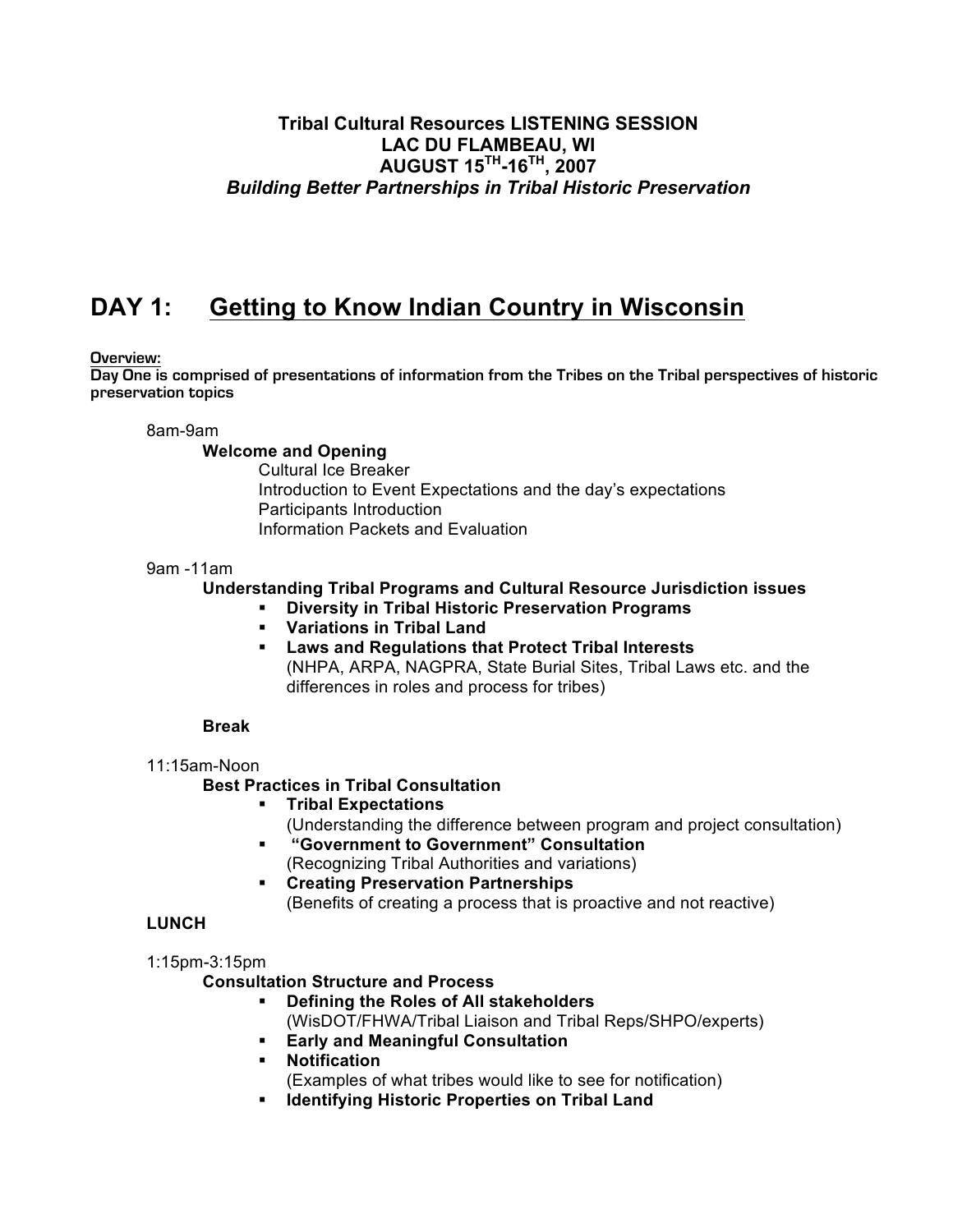# **Tribal Cultural Resources LISTENING SESSION LAC DU FLAMBEAU, WI AUGUST 15TH-16TH, 2007** *Building Better Partnerships in Tribal Historic Preservation*

# **DAY 1: Getting to Know Indian Country in Wisconsin**

### **Overview:**

**Day One is comprised of presentations of information from the Tribes on the Tribal perspectives of historic preservation topics**

8am-9am

#### **Welcome and Opening**

Cultural Ice Breaker Introduction to Event Expectations and the day's expectations Participants Introduction Information Packets and Evaluation

#### 9am -11am

### **Understanding Tribal Programs and Cultural Resource Jurisdiction issues**

**Diversity in Tribal Historic Preservation Programs**

- **Variations in Tribal Land**
- **Laws and Regulations that Protect Tribal Interests** (NHPA, ARPA, NAGPRA, State Burial Sites, Tribal Laws etc. and the differences in roles and process for tribes)

#### **Break**

#### 11:15am-Noon

#### **Best Practices in Tribal Consultation**

- **Tribal Expectations** (Understanding the difference between program and project consultation)
	- **"Government to Government" Consultation** (Recognizing Tribal Authorities and variations)
	- **Creating Preservation Partnerships** (Benefits of creating a process that is proactive and not reactive)

## **LUNCH**

#### 1:15pm-3:15pm

## **Consultation Structure and Process**

- **Defining the Roles of All stakeholders**
	- (WisDOT/FHWA/Tribal Liaison and Tribal Reps/SHPO/experts)
- **Early and Meaningful Consultation**
- **Notification**

(Examples of what tribes would like to see for notification)

**Identifying Historic Properties on Tribal Land**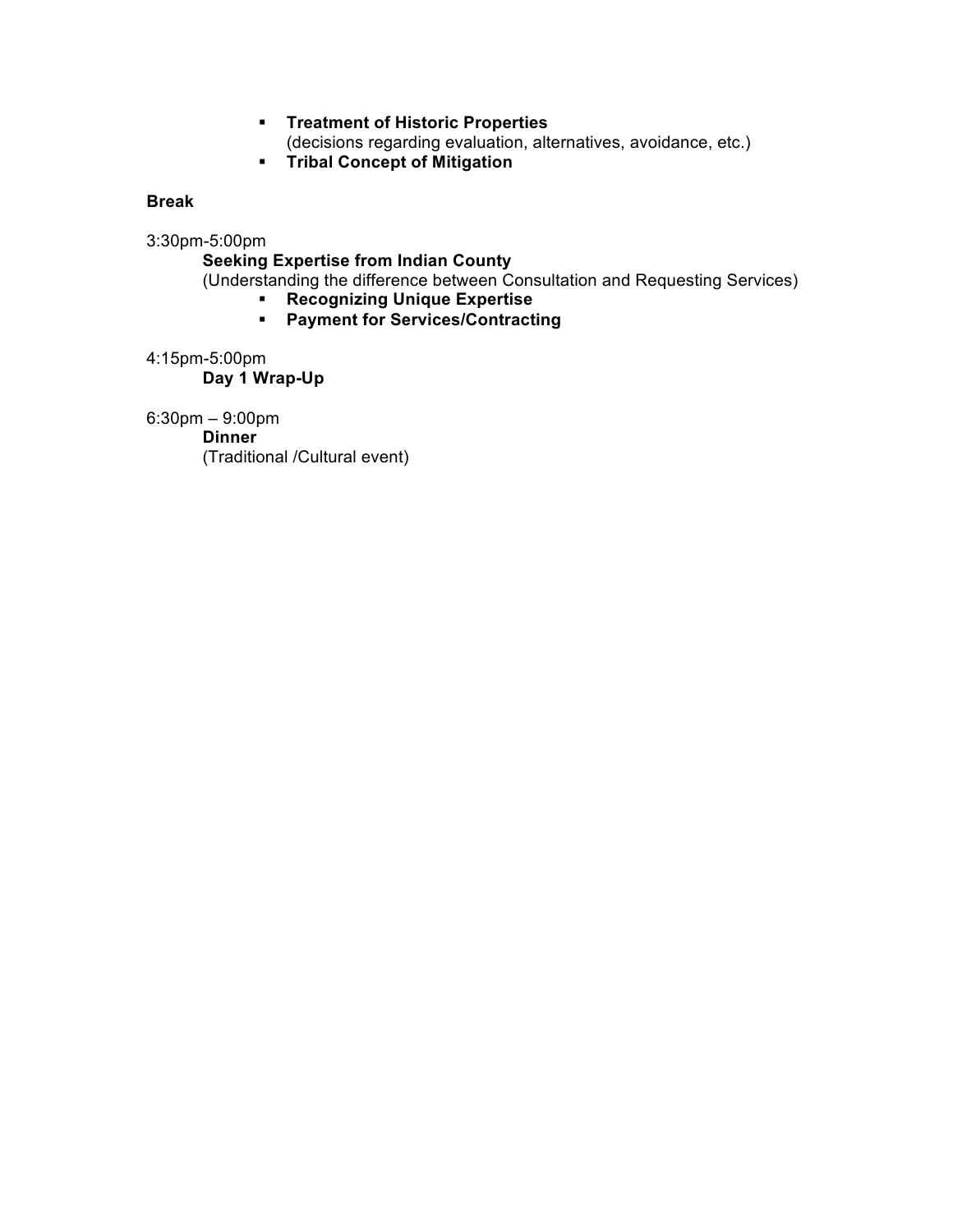## **Treatment of Historic Properties**

(decisions regarding evaluation, alternatives, avoidance, etc.)

**FIGMI Tribal Concept of Mitigation** 

## **Break**

3:30pm-5:00pm

**Seeking Expertise from Indian County**

(Understanding the difference between Consultation and Requesting Services)

- **Recognizing Unique Expertise**
	- **Payment for Services/Contracting**

4:15pm-5:00pm

**Day 1 Wrap-Up**

6:30pm – 9:00pm

**Dinner**

(Traditional /Cultural event)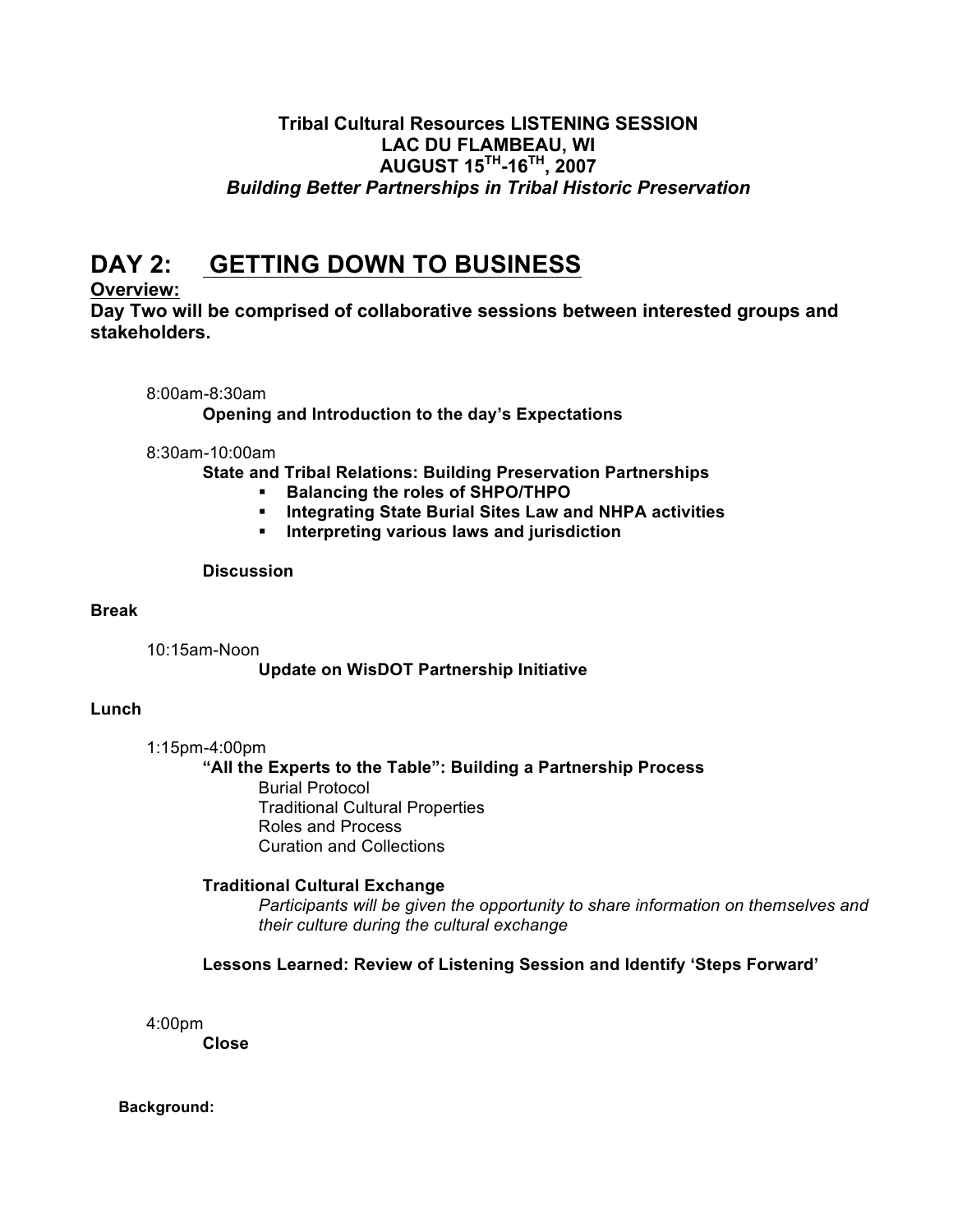# **Tribal Cultural Resources LISTENING SESSION LAC DU FLAMBEAU, WI AUGUST 15TH-16TH, 2007** *Building Better Partnerships in Tribal Historic Preservation*

# **DAY 2: GETTING DOWN TO BUSINESS**

# **Overview:**

**Day Two will be comprised of collaborative sessions between interested groups and stakeholders.**

## 8:00am-8:30am

**Opening and Introduction to the day's Expectations**

## 8:30am-10:00am

**State and Tribal Relations: Building Preservation Partnerships**

- **Balancing the roles of SHPO/THPO**
- **Integrating State Burial Sites Law and NHPA activities**
- **Interpreting various laws and jurisdiction**

## **Discussion**

## **Break**

10:15am-Noon

# **Update on WisDOT Partnership Initiative**

# **Lunch**

1:15pm-4:00pm

## **"All the Experts to the Table": Building a Partnership Process** Burial Protocol Traditional Cultural Properties Roles and Process Curation and Collections

# **Traditional Cultural Exchange**

*Participants will be given the opportunity to share information on themselves and their culture during the cultural exchange*

# **Lessons Learned: Review of Listening Session and Identify 'Steps Forward'**

4:00pm

**Close**

# **Background:**